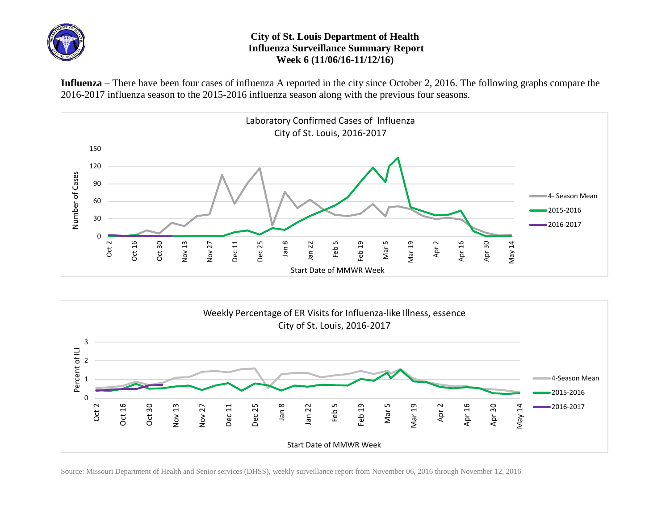

## **City of St. Louis Department of Health Influenza Surveillance Summary Report Week 6 (11/06/16-11/12/16)**

**Influenza** – There have been four cases of influenza A reported in the city since October 2, 2016. The following graphs compare the 2016-2017 influenza season to the 2015-2016 influenza season along with the previous four seasons.





Source: Missouri Department of Health and Senior services (DHSS), weekly surveillance report from November 06, 2016 through November 12, 2016